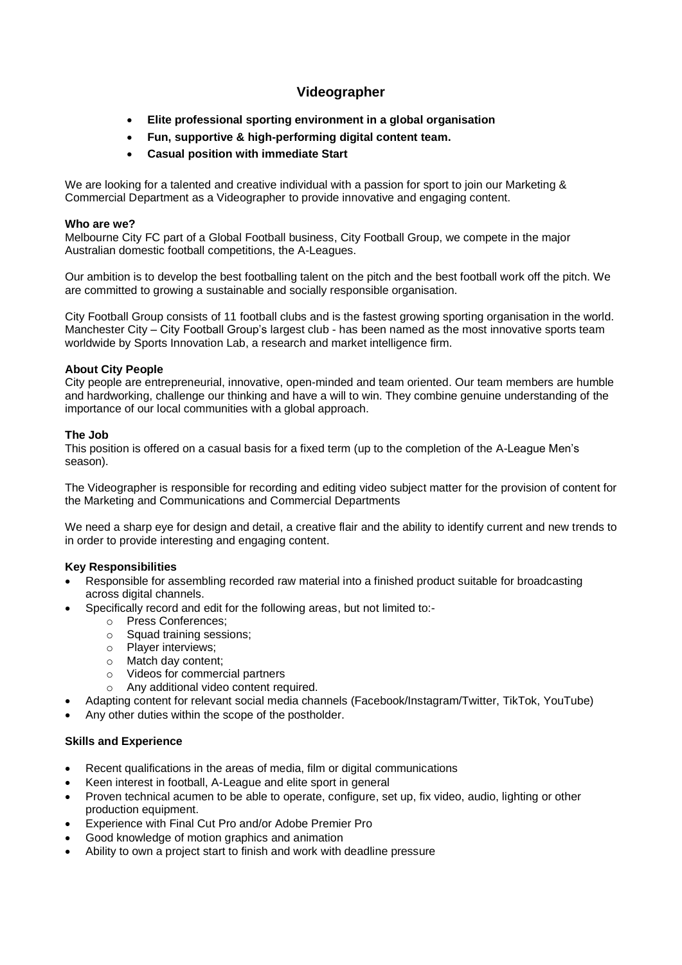# **Videographer**

- **Elite professional sporting environment in a global organisation**
- **Fun, supportive & high-performing digital content team.**
- **Casual position with immediate Start**

We are looking for a talented and creative individual with a passion for sport to join our Marketing & Commercial Department as a Videographer to provide innovative and engaging content.

## **Who are we?**

Melbourne City FC part of a Global Football business, City Football Group, we compete in the major Australian domestic football competitions, the A-Leagues.

Our ambition is to develop the best footballing talent on the pitch and the best football work off the pitch. We are committed to growing a sustainable and socially responsible organisation.

City Football Group consists of 11 football clubs and is the fastest growing sporting organisation in the world. Manchester City – City Football Group's largest club - has been named as the most innovative sports team worldwide by Sports Innovation Lab, a research and market intelligence firm.

## **About City People**

City people are entrepreneurial, innovative, open-minded and team oriented. Our team members are humble and hardworking, challenge our thinking and have a will to win. They combine genuine understanding of the importance of our local communities with a global approach.

## **The Job**

This position is offered on a casual basis for a fixed term (up to the completion of the A-League Men's season).

The Videographer is responsible for recording and editing video subject matter for the provision of content for the Marketing and Communications and Commercial Departments

We need a sharp eye for design and detail, a creative flair and the ability to identify current and new trends to in order to provide interesting and engaging content.

## **Key Responsibilities**

- Responsible for assembling recorded raw material into a finished product suitable for broadcasting across digital channels.
- Specifically record and edit for the following areas, but not limited to:
	- o Press Conferences;
	- o Squad training sessions;
	- o Player interviews;
	- o Match day content;
	- o Videos for commercial partners
	- o Any additional video content required.
- Adapting content for relevant social media channels (Facebook/Instagram/Twitter, TikTok, YouTube)
- Any other duties within the scope of the postholder.

## **Skills and Experience**

- Recent qualifications in the areas of media, film or digital communications
- Keen interest in football, A-League and elite sport in general
- Proven technical acumen to be able to operate, configure, set up, fix video, audio, lighting or other production equipment.
- Experience with Final Cut Pro and/or Adobe Premier Pro
- Good knowledge of motion graphics and animation
- Ability to own a project start to finish and work with deadline pressure